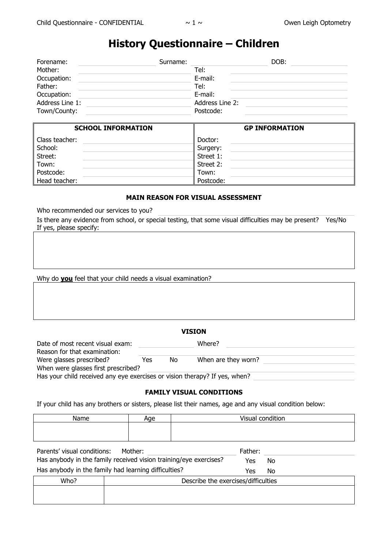# **History Questionnaire – Children**

| Forename:       | Surname: | DOB:            |
|-----------------|----------|-----------------|
| Mother:         | Tel:     |                 |
| Occupation:     | E-mail:  |                 |
| Father:         | Tel:     |                 |
| Occupation:     | E-mail:  |                 |
| Address Line 1: |          | Address Line 2: |
| Town/County:    |          | Postcode:       |

| <b>SCHOOL INFORMATION</b> | <b>GP INFORMATION</b> |
|---------------------------|-----------------------|
| Class teacher:            | Doctor:               |
| School:                   | Surgery:              |
| Street:                   | Street 1:             |
| Town:                     | Street 2:             |
| Postcode:                 | Town:                 |
| Head teacher:             | Postcode:             |

# **MAIN REASON FOR VISUAL ASSESSMENT**

Who recommended our services to you?

Is there any evidence from school, or special testing, that some visual difficulties may be present? Yes/No If yes, please specify:

Why do **you** feel that your child needs a visual examination?

| Date of most recent visual exam:<br>Reason for that examination:           |     |    | Where?              |  |
|----------------------------------------------------------------------------|-----|----|---------------------|--|
| Were glasses prescribed?                                                   | Yes | No | When are they worn? |  |
| When were glasses first prescribed?                                        |     |    |                     |  |
| Has your child received any eye exercises or vision therapy? If yes, when? |     |    |                     |  |

#### **FAMILY VISUAL CONDITIONS**

If your child has any brothers or sisters, please list their names, age and any visual condition below:

| Name                                                              | Age     | Visual condition |    |
|-------------------------------------------------------------------|---------|------------------|----|
|                                                                   |         |                  |    |
|                                                                   |         |                  |    |
| Parents' visual conditions:                                       | Mother: | Father:          |    |
| Has anybody in the family received vision training/eye exercises? |         | Yes              | No |
| Has anybody in the family had learning difficulties?              |         | Yes              | N٥ |

|      | ∽ | .<br>.                              |
|------|---|-------------------------------------|
| Who? |   | Describe the exercises/difficulties |
|      |   |                                     |
|      |   |                                     |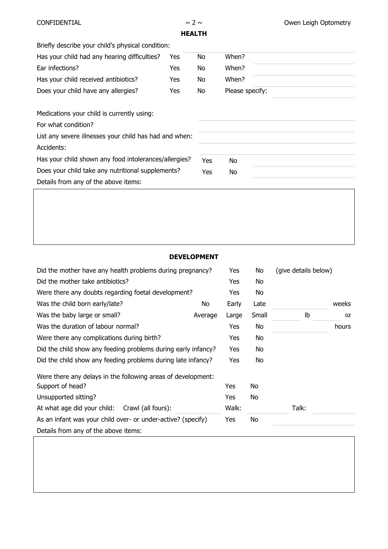| <b>CONFIDENTIAL</b> |  |
|---------------------|--|
|---------------------|--|



**HEALTH**

|                                                        | .   |     |                 |  |
|--------------------------------------------------------|-----|-----|-----------------|--|
| Briefly describe your child's physical condition:      |     |     |                 |  |
| Has your child had any hearing difficulties?           | Yes | No  | When?           |  |
| Ear infections?                                        | Yes | No  | When?           |  |
| Has your child received antibiotics?                   | Yes | No  | When?           |  |
| Does your child have any allergies?                    | Yes | No  | Please specify: |  |
| Medications your child is currently using:             |     |     |                 |  |
| For what condition?                                    |     |     |                 |  |
| List any severe illnesses your child has had and when: |     |     |                 |  |
| Accidents:                                             |     |     |                 |  |
| Has your child shown any food intolerances/allergies?  |     | Yes | No              |  |
| Does your child take any nutritional supplements?      |     | Yes | No              |  |
| Details from any of the above items:                   |     |     |                 |  |
|                                                        |     |     |                 |  |

# **DEVELOPMENT**

| Did the mother have any health problems during pregnancy?     |         |       | No    | (give details below) |           |
|---------------------------------------------------------------|---------|-------|-------|----------------------|-----------|
| Did the mother take antibiotics?                              |         |       | No    |                      |           |
| Were there any doubts regarding foetal development?           |         | Yes   | No    |                      |           |
| Was the child born early/late?                                | No      | Early | Late  |                      | weeks     |
| Was the baby large or small?                                  | Average | Large | Small | Ib                   | <b>OZ</b> |
| Was the duration of labour normal?                            |         | Yes   | No    |                      | hours     |
| Were there any complications during birth?                    |         |       | No.   |                      |           |
| Did the child show any feeding problems during early infancy? |         |       | No    |                      |           |
| Did the child show any feeding problems during late infancy?  |         | Yes   | No    |                      |           |
| Were there any delays in the following areas of development:  |         |       |       |                      |           |
| Support of head?                                              |         | Yes   | No    |                      |           |
| Unsupported sitting?                                          |         | Yes   | No    |                      |           |
| At what age did your child:<br>Crawl (all fours):             |         |       |       | Talk:                |           |
| As an infant was your child over- or under-active? (specify)  |         | Yes   | No    |                      |           |
| Details from any of the above items:                          |         |       |       |                      |           |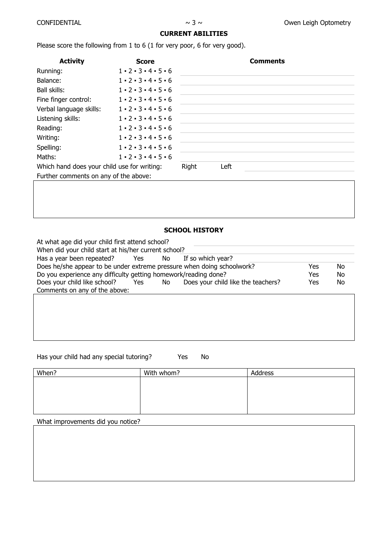# **CURRENT ABILITIES**

Please score the following from 1 to 6 (1 for very poor, 6 for very good).

| <b>Activity</b>                             | <b>Score</b>                                |       |      | <b>Comments</b> |
|---------------------------------------------|---------------------------------------------|-------|------|-----------------|
| Running:                                    | $1 \cdot 2 \cdot 3 \cdot 4 \cdot 5 \cdot 6$ |       |      |                 |
| Balance:                                    | $1 \cdot 2 \cdot 3 \cdot 4 \cdot 5 \cdot 6$ |       |      |                 |
| Ball skills:                                | $1 \cdot 2 \cdot 3 \cdot 4 \cdot 5 \cdot 6$ |       |      |                 |
| Fine finger control:                        | $1 \cdot 2 \cdot 3 \cdot 4 \cdot 5 \cdot 6$ |       |      |                 |
| Verbal language skills:                     | $1 - 2 - 3 - 4 - 5 - 6$                     |       |      |                 |
| Listening skills:                           | $1 - 2 - 3 - 4 - 5 - 6$                     |       |      |                 |
| Reading:                                    | $1 - 2 - 3 - 4 - 5 - 6$                     |       |      |                 |
| Writing:                                    | $1 - 2 - 3 - 4 - 5 - 6$                     |       |      |                 |
| Spelling:                                   | $1 - 2 - 3 - 4 - 5 - 6$                     |       |      |                 |
| Maths:                                      | $1 - 2 - 3 - 4 - 5 - 6$                     |       |      |                 |
| Which hand does your child use for writing: |                                             | Right | Left |                 |
| Further comments on any of the above:       |                                             |       |      |                 |

# **SCHOOL HISTORY**

| At what age did your child first attend school?<br>When did your child start at his/her current school? |                              |    |                                    |     |     |
|---------------------------------------------------------------------------------------------------------|------------------------------|----|------------------------------------|-----|-----|
| Has a year been repeated?                                                                               | <b>Santa Transfer Street</b> | No | If so which year?                  |     |     |
| Does he/she appear to be under extreme pressure when doing schoolwork?                                  |                              |    |                                    | Yes | No  |
| Do you experience any difficulty getting homework/reading done?                                         |                              |    |                                    | Yes | No  |
| Does your child like school?                                                                            | Yes                          | No | Does your child like the teachers? | Yes | No. |
| Comments on any of the above:                                                                           |                              |    |                                    |     |     |
|                                                                                                         |                              |    |                                    |     |     |

Has your child had any special tutoring? Yes No

| When? | With whom? | Address |
|-------|------------|---------|
|       |            |         |
|       |            |         |
|       |            |         |
|       |            |         |
|       |            |         |

What improvements did you notice?